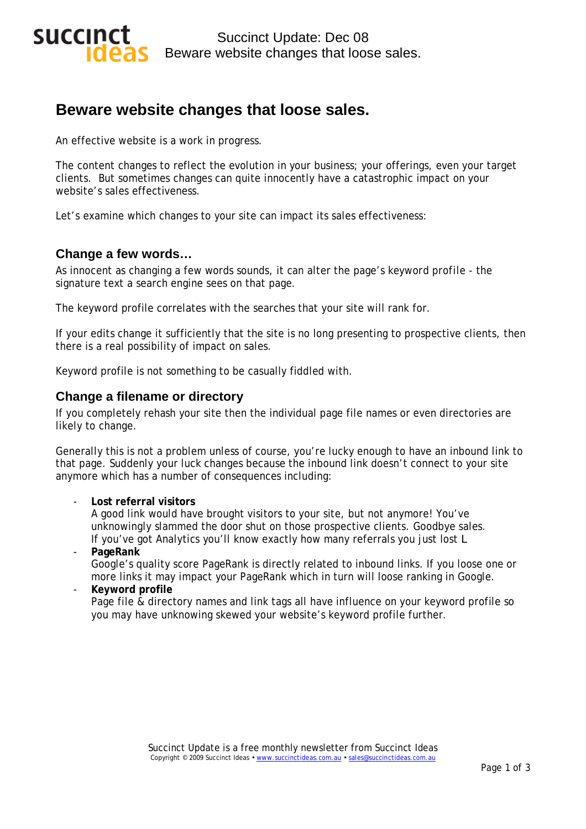

# **Beware website changes that loose sales.**

An effective website is a work in progress.

The content changes to reflect the evolution in your business; your offerings, even your target clients. But sometimes changes can quite innocently have a catastrophic impact on your website's sales effectiveness.

Let's examine which changes to your site can impact its sales effectiveness:

### **Change a few words…**

As innocent as changing a few words sounds, it can alter the page's *keyword profile* - the signature text a search engine sees on that page.

The keyword profile correlates with the searches that your site will rank for.

If your edits change it sufficiently that the site is no long presenting to prospective clients, then there is a real possibility of impact on sales.

Keyword profile is not something to be casually fiddled with.

### **Change a filename or directory**

If you completely rehash your site then the individual page file names or even directories are likely to change.

Generally this is not a problem unless of course, you're lucky enough to have an inbound link to that page. Suddenly your luck changes because the inbound link doesn't connect to your site anymore which has a number of consequences including:

#### - **Lost referral visitors**

A good link would have brought visitors to your site, but not anymore! You've unknowingly slammed the door shut on those prospective clients. Goodbye sales. If you've got Analytics you'll know exactly how many referrals you just lost L

#### - **PageRank**

Google's quality score PageRank is directly related to inbound links. If you loose one or more links it may impact your PageRank which in turn will loose ranking in Google.

### - **Keyword profile**

Page file & directory names and link tags all have influence on your keyword profile so you may have unknowing skewed your website's keyword profile further.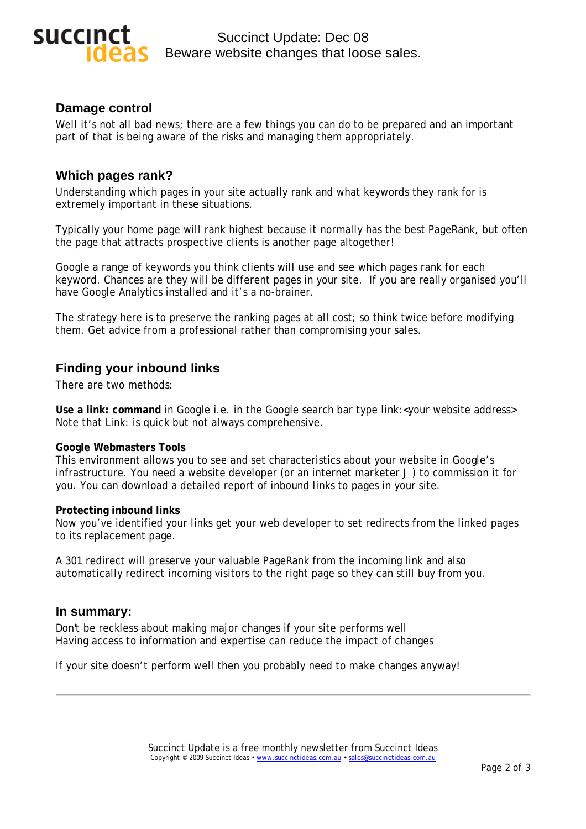

Succinct Update: Dec 08 Beware website changes that loose sales.

### **Damage control**

Well it's not all bad news; there are a few things you can do to be prepared and an important part of that is being aware of the risks and managing them appropriately.

### **Which pages rank?**

Understanding which pages in your site actually rank and what keywords they rank for is extremely important in these situations.

Typically your home page will rank highest because it normally has the best PageRank, but often the page that attracts prospective clients is another page altogether!

Google a range of keywords you think clients will use and see which pages rank for each keyword. Chances are they will be different pages in your site. If you are really organised you'll have Google Analytics installed and it's a no-brainer.

The strategy here is to preserve the ranking pages at all cost; so think twice before modifying them. Get advice from a professional rather than compromising your sales.

### **Finding your inbound links**

There are two methods:

**Use a link: command** in Google i.e. in the Google search bar type link:< your website address> Note that Link: is quick but not always comprehensive.

### **Google Webmasters Tools**

This environment allows you to see and set characteristics about your website in Google's infrastructure. You need a website developer (or an internet marketer J) to commission it for you. You can download a detailed report of inbound links to pages in your site.

#### **Protecting inbound links**

Now you've identified your links get your web developer to set redirects from the linked pages to its replacement page.

A 301 redirect will preserve your valuable PageRank from the incoming link and also automatically redirect incoming visitors to the right page so they can still buy from you.

### **In summary:**

Don't be reckless about making major changes if your site performs well Having access to information and expertise can reduce the impact of changes

If your site doesn't perform well then you probably need to make changes anyway!